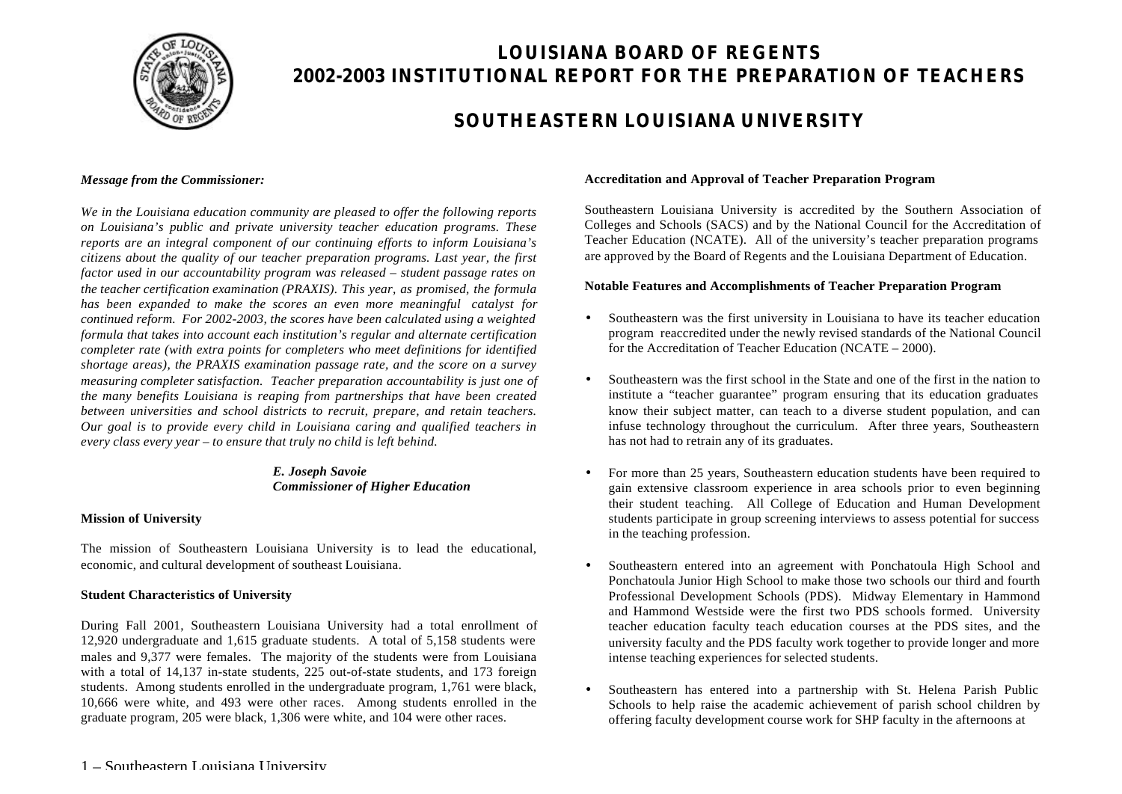

# **LOUISIANA BOARD OF REGENTS 2002-2003 INSTITUTIONAL REPORT FOR THE PREPARATION OF TEACHERS**

# **SOUTHEASTERN LOUISIANA UNIVERSITY**

#### *Message from the Commissioner:*

*We in the Louisiana education community are pleased to offer the following reports on Louisiana's public and private university teacher education programs. These reports are an integral component of our continuing efforts to inform Louisiana's citizens about the quality of our teacher preparation programs. Last year, the first factor used in our accountability program was released – student passage rates on the teacher certification examination (PRAXIS). This year, as promised, the formula has been expanded to make the scores an even more meaningful catalyst for continued reform. For 2002-2003, the scores have been calculated using a weighted formula that takes into account each institution's regular and alternate certification completer rate (with extra points for completers who meet definitions for identified shortage areas), the PRAXIS examination passage rate, and the score on a survey measuring completer satisfaction. Teacher preparation accountability is just one of the many benefits Louisiana is reaping from partnerships that have been created between universities and school districts to recruit, prepare, and retain teachers. Our goal is to provide every child in Louisiana caring and qualified teachers in every class every year – to ensure that truly no child is left behind.*

### *E. Joseph Savoie Commissioner of Higher Education*

#### **Mission of University**

The mission of Southeastern Louisiana University is to lead the educational, economic, and cultural development of southeast Louisiana.

#### **Student Characteristics of University**

During Fall 2001, Southeastern Louisiana University had a total enrollment of 12,920 undergraduate and 1,615 graduate students. A total of 5,158 students were males and 9,377 were females. The majority of the students were from Louisiana with a total of 14,137 in-state students, 225 out-of-state students, and 173 foreign students. Among students enrolled in the undergraduate program, 1,761 were black, 10,666 were white, and 493 were other races. Among students enrolled in the graduate program, 205 were black, 1,306 were white, and 104 were other races.

#### **Accreditation and Approval of Teacher Preparation Program**

Southeastern Louisiana University is accredited by the Southern Association of Colleges and Schools (SACS) and by the National Council for the Accreditation of Teacher Education (NCATE). All of the university's teacher preparation programs are approved by the Board of Regents and the Louisiana Department of Education.

#### **Notable Features and Accomplishments of Teacher Preparation Program**

- Southeastern was the first university in Louisiana to have its teacher education program reaccredited under the newly revised standards of the National Council for the Accreditation of Teacher Education (NCATE – 2000).
- Southeastern was the first school in the State and one of the first in the nation to institute a "teacher guarantee" program ensuring that its education graduates know their subject matter, can teach to a diverse student population, and can infuse technology throughout the curriculum. After three years, Southeastern has not had to retrain any of its graduates.
- For more than 25 years, Southeastern education students have been required to gain extensive classroom experience in area schools prior to even beginning their student teaching. All College of Education and Human Development students participate in group screening interviews to assess potential for success in the teaching profession.
- Southeastern entered into an agreement with Ponchatoula High School and Ponchatoula Junior High School to make those two schools our third and fourth Professional Development Schools (PDS). Midway Elementary in Hammond and Hammond Westside were the first two PDS schools formed. University teacher education faculty teach education courses at the PDS sites, and the university faculty and the PDS faculty work together to provide longer and more intense teaching experiences for selected students.
- Southeastern has entered into a partnership with St. Helena Parish Public Schools to help raise the academic achievement of parish school children by offering faculty development course work for SHP faculty in the afternoons at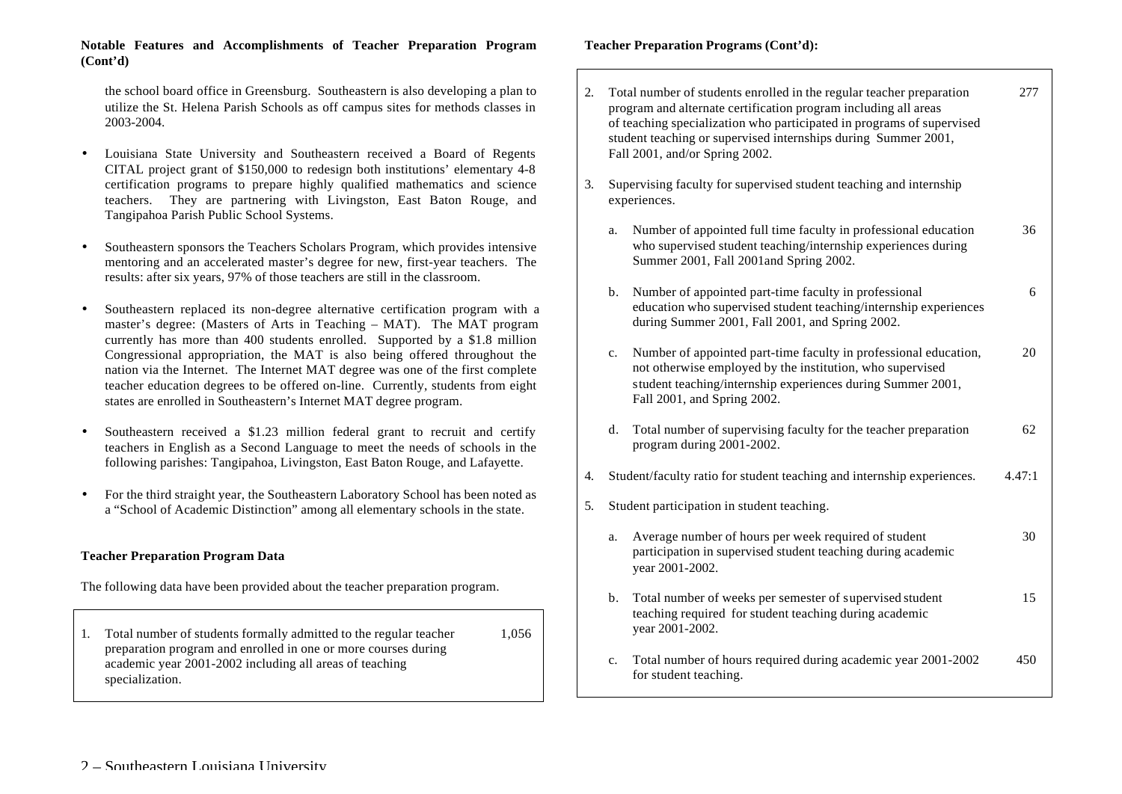#### **Notable Features and Accomplishments of Teacher Preparation Program (Cont'd)**

the school board office in Greensburg. Southeastern is also developing a plan to utilize the St. Helena Parish Schools as off campus sites for methods classes in 2003-2004.

- Louisiana State University and Southeastern received a Board of Regents CITAL project grant of \$150,000 to redesign both institutions' elementary 4-8 certification programs to prepare highly qualified mathematics and science teachers. They are partnering with Livingston, East Baton Rouge, and Tangipahoa Parish Public School Systems.
- Southeastern sponsors the Teachers Scholars Program, which provides intensive mentoring and an accelerated master's degree for new, first-year teachers. The results: after six years, 97% of those teachers are still in the classroom.
- Southeastern replaced its non-degree alternative certification program with a master's degree: (Masters of Arts in Teaching – MAT). The MAT program currently has more than 400 students enrolled. Supported by a \$1.8 million Congressional appropriation, the MAT is also being offered throughout the nation via the Internet. The Internet MAT degree was one of the first complete teacher education degrees to be offered on-line. Currently, students from eight states are enrolled in Southeastern's Internet MAT degree program.
- Southeastern received a \$1.23 million federal grant to recruit and certify teachers in English as a Second Language to meet the needs of schools in the following parishes: Tangipahoa, Livingston, East Baton Rouge, and Lafayette.
- For the third straight year, the Southeastern Laboratory School has been noted as a "School of Academic Distinction" among all elementary schools in the state.

### **Teacher Preparation Program Data**

The following data have been provided about the teacher preparation program.

1. Total number of students formally admitted to the regular teacher 1,056 preparation program and enrolled in one or more courses during academic year 2001-2002 including all areas of teaching specialization.

**Teacher Preparation Programs (Cont'd):**

| 2. |                | Total number of students enrolled in the regular teacher preparation<br>program and alternate certification program including all areas<br>of teaching specialization who participated in programs of supervised<br>student teaching or supervised internships during Summer 2001,<br>Fall 2001, and/or Spring 2002. | 277    |
|----|----------------|----------------------------------------------------------------------------------------------------------------------------------------------------------------------------------------------------------------------------------------------------------------------------------------------------------------------|--------|
| 3. |                | Supervising faculty for supervised student teaching and internship<br>experiences.                                                                                                                                                                                                                                   |        |
|    | a.             | Number of appointed full time faculty in professional education<br>who supervised student teaching/internship experiences during<br>Summer 2001, Fall 2001 and Spring 2002.                                                                                                                                          | 36     |
|    | b.             | Number of appointed part-time faculty in professional<br>education who supervised student teaching/internship experiences<br>during Summer 2001, Fall 2001, and Spring 2002.                                                                                                                                         | 6      |
|    | $\mathbf{c}$ . | Number of appointed part-time faculty in professional education,<br>not otherwise employed by the institution, who supervised<br>student teaching/internship experiences during Summer 2001,<br>Fall 2001, and Spring 2002.                                                                                          | 20     |
|    | d.             | Total number of supervising faculty for the teacher preparation<br>program during 2001-2002.                                                                                                                                                                                                                         | 62     |
| 4. |                | Student/faculty ratio for student teaching and internship experiences.                                                                                                                                                                                                                                               | 4.47:1 |
| 5. |                | Student participation in student teaching.                                                                                                                                                                                                                                                                           |        |
|    | a.             | Average number of hours per week required of student<br>participation in supervised student teaching during academic<br>year 2001-2002.                                                                                                                                                                              | 30     |
|    | b.             | Total number of weeks per semester of supervised student<br>teaching required for student teaching during academic<br>year 2001-2002.                                                                                                                                                                                | 15     |
|    | c.             | Total number of hours required during academic year 2001-2002<br>for student teaching.                                                                                                                                                                                                                               | 450    |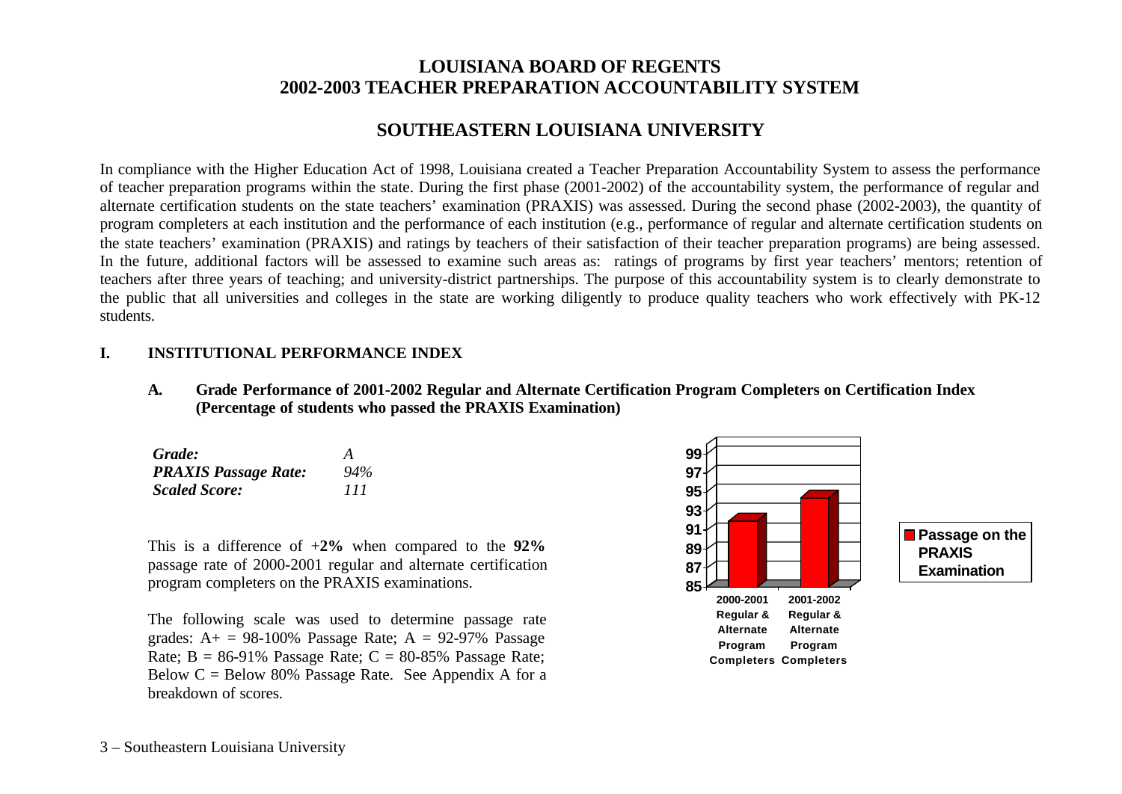# **LOUISIANA BOARD OF REGENTS 2002-2003 TEACHER PREPARATION ACCOUNTABILITY SYSTEM**

# **SOUTHEASTERN LOUISIANA UNIVERSITY**

In compliance with the Higher Education Act of 1998, Louisiana created a Teacher Preparation Accountability System to assess the performance of teacher preparation programs within the state. During the first phase (2001-2002) of the accountability system, the performance of regular and alternate certification students on the state teachers' examination (PRAXIS) was assessed. During the second phase (2002-2003), the quantity of program completers at each institution and the performance of each institution (e.g., performance of regular and alternate certification students on the state teachers' examination (PRAXIS) and ratings by teachers of their satisfaction of their teacher preparation programs) are being assessed. In the future, additional factors will be assessed to examine such areas as: ratings of programs by first year teachers' mentors; retention of teachers after three years of teaching; and university-district partnerships. The purpose of this accountability system is to clearly demonstrate to the public that all universities and colleges in the state are working diligently to produce quality teachers who work effectively with PK-12 students.

### **I. INSTITUTIONAL PERFORMANCE INDEX**

**A. Grade Performance of 2001-2002 Regular and Alternate Certification Program Completers on Certification Index (Percentage of students who passed the PRAXIS Examination)**

| Grade:                      | A   |
|-----------------------------|-----|
| <b>PRAXIS Passage Rate:</b> | 94% |
| <b>Scaled Score:</b>        | 111 |

This is a difference of +**2%** when compared to the **92%** passage rate of 2000-2001 regular and alternate certification program completers on the PRAXIS examinations.

The following scale was used to determine passage rate grades:  $A_+$  = 98-100% Passage Rate;  $A = 92-97\%$  Passage Rate;  $B = 86-91\%$  Passage Rate;  $C = 80-85\%$  Passage Rate; Below  $C =$  Below 80% Passage Rate. See Appendix A for a breakdown of scores.

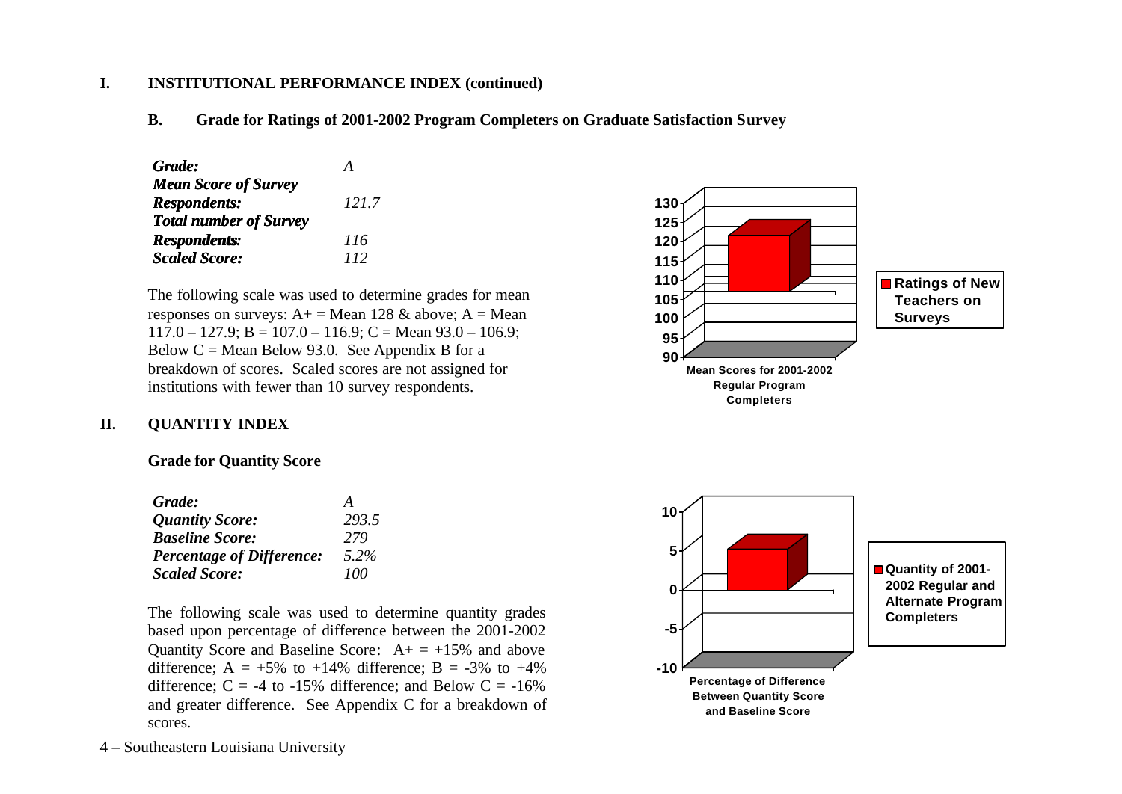## **I. INSTITUTIONAL PERFORMANCE INDEX (continued)**

**B. Grade for Ratings of 2001-2002 Program Completers on Graduate Satisfaction Survey**

| Grade:                        | А     |
|-------------------------------|-------|
| <b>Mean Score of Survey</b>   |       |
| <b>Respondents:</b>           | 121.7 |
| <b>Total number of Survey</b> |       |
| <b>Respondents:</b>           | 116   |
| <b>Scaled Score:</b>          | 112   |

The following scale was used to determine grades for mean responses on surveys:  $A<sup>+</sup> = Mean 128 \& above$ ;  $A = Mean$  $117.0 - 127.9$ ; B = 107.0 – 116.9; C = Mean 93.0 – 106.9; Below  $C =$  Mean Below 93.0. See Appendix B for a breakdown of scores. Scaled scores are not assigned for institutions with fewer than 10 survey respondents.



### **II. QUANTITY INDEX**

### **Grade for Quantity Score**

| Grade:                           | A     |
|----------------------------------|-------|
| <b>Quantity Score:</b>           | 293.5 |
| <b>Baseline Score:</b>           | 279   |
| <b>Percentage of Difference:</b> | 5.2%  |
| <b>Scaled Score:</b>             | 100   |

The following scale was used to determine quantity grades based upon percentage of difference between the 2001-2002 Quantity Score and Baseline Score:  $A_+ = +15\%$  and above difference;  $A = +5\%$  to  $+14\%$  difference;  $B = -3\%$  to  $+4\%$ difference;  $C = -4$  to  $-15\%$  difference; and Below  $C = -16\%$ and greater difference. See Appendix C for a breakdown of scores.

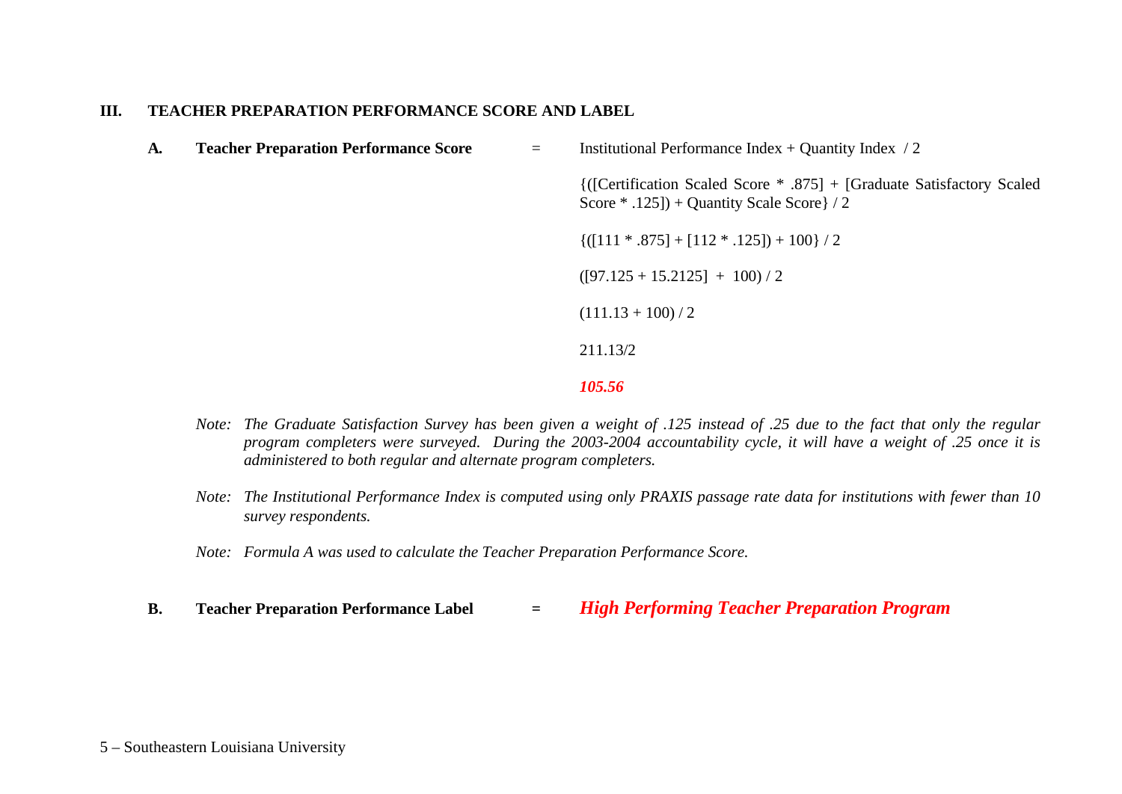### **III. TEACHER PREPARATION PERFORMANCE SCORE AND LABEL**

| A. | <b>Teacher Preparation Performance Score</b> |  | Institutional Performance Index $+$ Quantity Index $/2$                                                               |  |  |
|----|----------------------------------------------|--|-----------------------------------------------------------------------------------------------------------------------|--|--|
|    |                                              |  | {([Certification Scaled Score * .875] + [Graduate Satisfactory Scaled<br>Score $*$ .125]) + Quantity Scale Score $/2$ |  |  |
|    |                                              |  | $\{([111 * .875] + [112 * .125]) + 100\}/2$                                                                           |  |  |
|    |                                              |  | $([97.125 + 15.2125] + 100)/2$                                                                                        |  |  |
|    |                                              |  | $(111.13 + 100)/2$                                                                                                    |  |  |
|    |                                              |  | 211.13/2                                                                                                              |  |  |
|    |                                              |  |                                                                                                                       |  |  |

*105.56*

- *Note: The Graduate Satisfaction Survey has been given a weight of .125 instead of .25 due to the fact that only the regular program completers were surveyed. During the 2003-2004 accountability cycle, it will have a weight of .25 once it is administered to both regular and alternate program completers.*
- *Note: The Institutional Performance Index is computed using only PRAXIS passage rate data for institutions with fewer than 10 survey respondents.*
- *Note: Formula A was used to calculate the Teacher Preparation Performance Score.*
- **B. Teacher Preparation Performance Label =** *High Performing Teacher Preparation Program*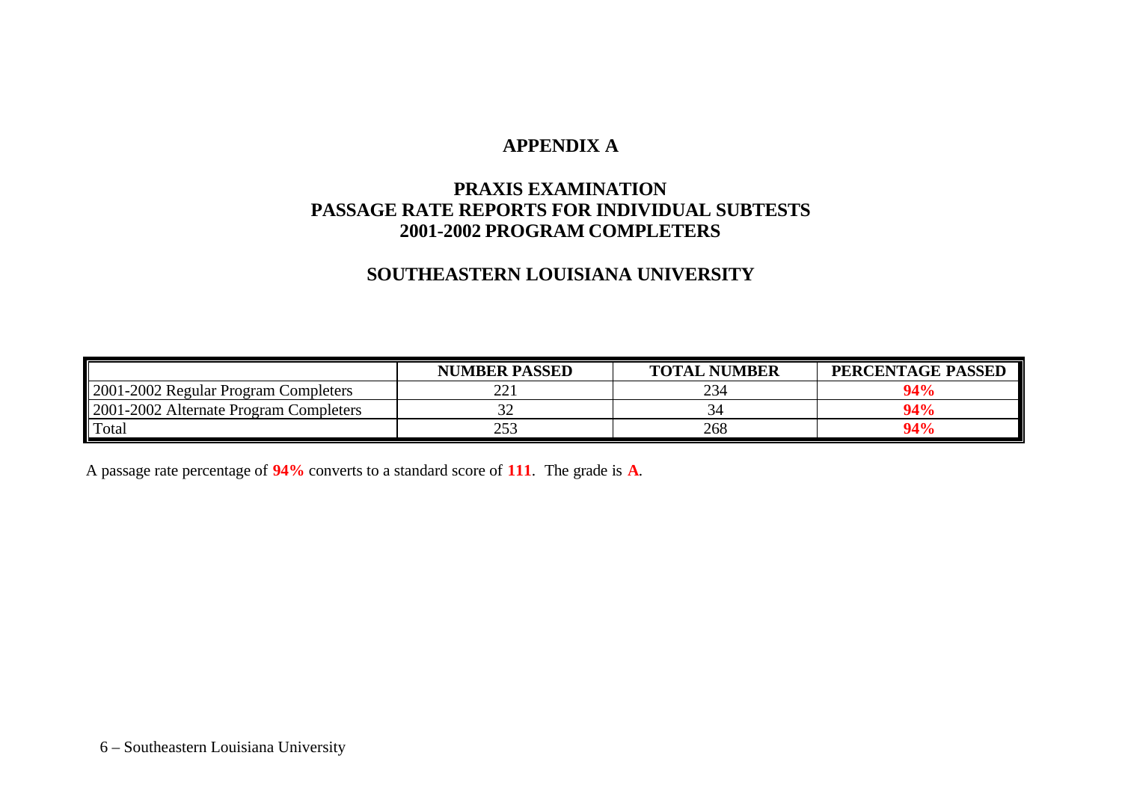# **APPENDIX A**

# **PRAXIS EXAMINATION PASSAGE RATE REPORTS FOR INDIVIDUAL SUBTESTS 2001-2002 PROGRAM COMPLETERS**

# **SOUTHEASTERN LOUISIANA UNIVERSITY**

|                                        | <b>NUMBER PASSED</b>                      | <b>TOTAL NUMBER</b> | PERCENTAGE PASSED |
|----------------------------------------|-------------------------------------------|---------------------|-------------------|
| 2001-2002 Regular Program Completers   | $\mathcal{D}$<br>$\overline{\phantom{a}}$ | 234                 | 94%               |
| 2001-2002 Alternate Program Completers | ◡                                         |                     | 94%               |
| Total                                  | つよつ<br>ل ل ک                              | 268                 | 94%               |

A passage rate percentage of **94%** converts to a standard score of **111**. The grade is **A**.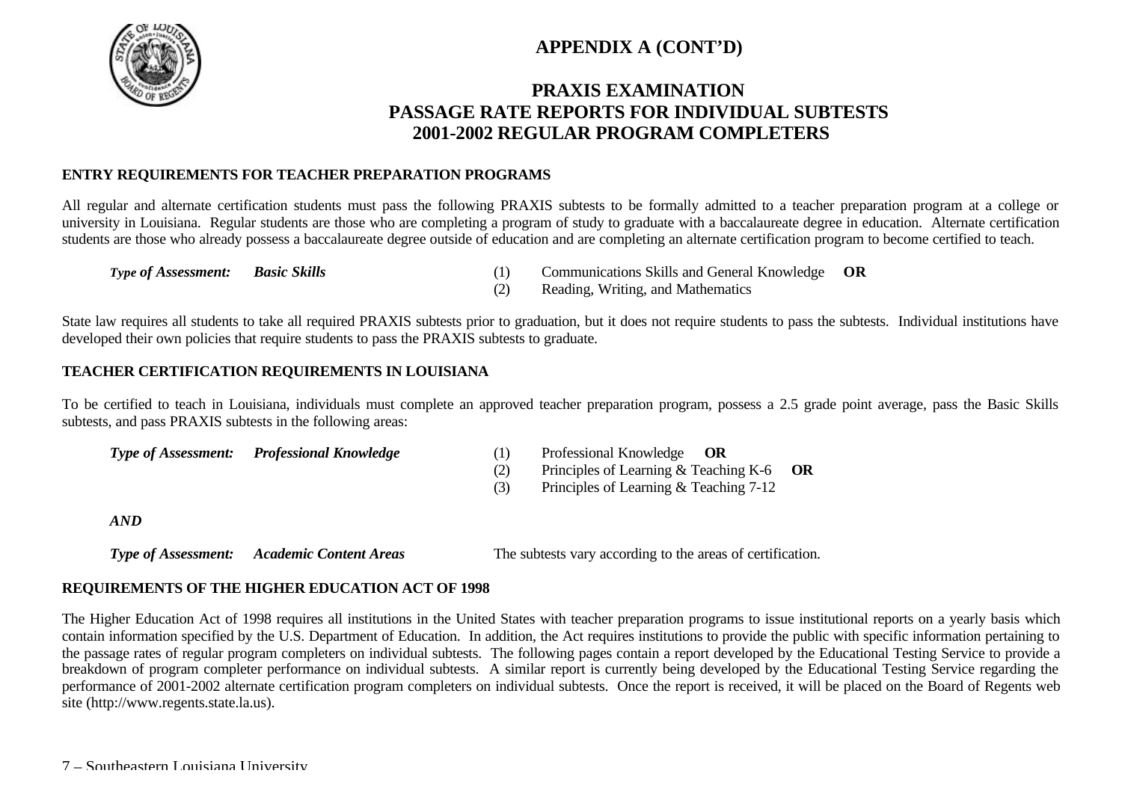

# **APPENDIX A (CONT'D)**

# **PRAXIS EXAMINATION PASSAGE RATE REPORTS FOR INDIVIDUAL SUBTESTS 2001-2002 REGULAR PROGRAM COMPLETERS**

## **ENTRY REQUIREMENTS FOR TEACHER PREPARATION PROGRAMS**

All regular and alternate certification students must pass the following PRAXIS subtests to be formally admitted to a teacher preparation program at a college or university in Louisiana. Regular students are those who are completing a program of study to graduate with a baccalaureate degree in education. Alternate certification students are those who already possess a baccalaureate degree outside of education and are completing an alternate certification program to become certified to teach.

- *Type of Assessment: Basic Skills* (1) Communications Skills and General Knowledge **OR**
	- (2) Reading, Writing, and Mathematics

State law requires all students to take all required PRAXIS subtests prior to graduation, but it does not require students to pass the subtests. Individual institutions have developed their own policies that require students to pass the PRAXIS subtests to graduate.

### **TEACHER CERTIFICATION REQUIREMENTS IN LOUISIANA**

To be certified to teach in Louisiana, individuals must complete an approved teacher preparation program, possess a 2.5 grade point average, pass the Basic Skills subtests, and pass PRAXIS subtests in the following areas:

*Type of Assessment: Professional Knowledge* (1) Professional Knowledge **OR**

- 
- (2) Principles of Learning & Teaching K-6 **OR**
- (3) Principles of Learning & Teaching 7-12

*AND*

*Type of Assessment: Academic Content Areas* The subtests vary according to the areas of certification.

## **REQUIREMENTS OF THE HIGHER EDUCATION ACT OF 1998**

The Higher Education Act of 1998 requires all institutions in the United States with teacher preparation programs to issue institutional reports on a yearly basis which contain information specified by the U.S. Department of Education. In addition, the Act requires institutions to provide the public with specific information pertaining to the passage rates of regular program completers on individual subtests. The following pages contain a report developed by the Educational Testing Service to provide a breakdown of program completer performance on individual subtests. A similar report is currently being developed by the Educational Testing Service regarding the performance of 2001-2002 alternate certification program completers on individual subtests. Once the report is received, it will be placed on the Board of Regents web site (http://www.regents.state.la.us).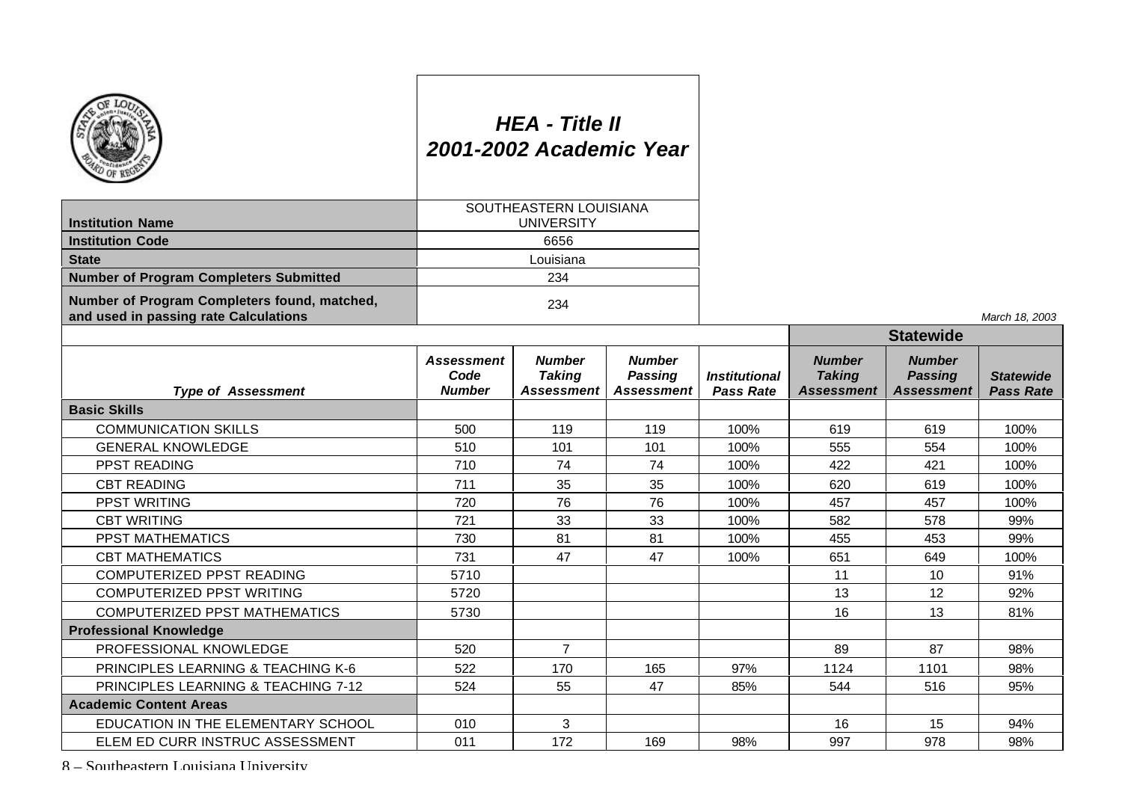|                                                                                       |                                     | <b>HEA - Title II</b><br>2001-2002 Academic Year |                                               |                                                 |                                                     |                                                      |                                      |
|---------------------------------------------------------------------------------------|-------------------------------------|--------------------------------------------------|-----------------------------------------------|-------------------------------------------------|-----------------------------------------------------|------------------------------------------------------|--------------------------------------|
| <b>Institution Name</b>                                                               |                                     | SOUTHEASTERN LOUISIANA<br><b>UNIVERSITY</b>      |                                               |                                                 |                                                     |                                                      |                                      |
| <b>Institution Code</b>                                                               |                                     | 6656                                             |                                               |                                                 |                                                     |                                                      |                                      |
| <b>State</b>                                                                          |                                     | Louisiana                                        |                                               |                                                 |                                                     |                                                      |                                      |
| <b>Number of Program Completers Submitted</b>                                         |                                     | 234                                              |                                               |                                                 |                                                     |                                                      |                                      |
| Number of Program Completers found, matched,<br>and used in passing rate Calculations |                                     | 234                                              |                                               |                                                 |                                                     |                                                      | March 18, 2003                       |
|                                                                                       |                                     |                                                  |                                               |                                                 |                                                     | <b>Statewide</b>                                     |                                      |
| <b>Type of Assessment</b>                                                             | Assessment<br>Code<br><b>Number</b> | <b>Number</b><br><b>Taking</b><br>Assessment     | <b>Number</b><br><b>Passing</b><br>Assessment | <i><b>Institutional</b></i><br><b>Pass Rate</b> | <b>Number</b><br><b>Taking</b><br><b>Assessment</b> | <b>Number</b><br><b>Passing</b><br><b>Assessment</b> | <b>Statewide</b><br><b>Pass Rate</b> |
| <b>Basic Skills</b>                                                                   |                                     |                                                  |                                               |                                                 |                                                     |                                                      |                                      |
| <b>COMMUNICATION SKILLS</b>                                                           | 500                                 | 119                                              | 119                                           | 100%                                            | 619                                                 | 619                                                  | 100%                                 |
| <b>GENERAL KNOWLEDGE</b>                                                              | 510                                 | 101                                              | 101                                           | 100%                                            | 555                                                 | 554                                                  | 100%                                 |
| <b>PPST READING</b>                                                                   | 710                                 | 74                                               | 74                                            | 100%                                            | 422                                                 | 421                                                  | 100%                                 |
| <b>CBT READING</b>                                                                    | 711                                 | 35                                               | 35                                            | 100%                                            | 620                                                 | 619                                                  | 100%                                 |
| PPST WRITING                                                                          | 720                                 | 76                                               | 76                                            | 100%                                            | 457                                                 | 457                                                  | 100%                                 |
| <b>CBT WRITING</b>                                                                    | 721                                 | 33                                               | 33                                            | 100%                                            | 582                                                 | 578                                                  | 99%                                  |
| <b>PPST MATHEMATICS</b>                                                               | 730                                 | 81                                               | 81                                            | 100%                                            | 455                                                 | 453                                                  | 99%                                  |
| <b>CBT MATHEMATICS</b>                                                                | 731                                 | 47                                               | 47                                            | 100%                                            | 651                                                 | 649                                                  | 100%                                 |
| COMPUTERIZED PPST READING                                                             | 5710                                |                                                  |                                               |                                                 | 11                                                  | 10                                                   | 91%                                  |
| <b>COMPUTERIZED PPST WRITING</b>                                                      | 5720                                |                                                  |                                               |                                                 | 13                                                  | 12                                                   | 92%                                  |
| <b>COMPUTERIZED PPST MATHEMATICS</b>                                                  | 5730                                |                                                  |                                               |                                                 | 16                                                  | 13                                                   | 81%                                  |
| <b>Professional Knowledge</b>                                                         |                                     |                                                  |                                               |                                                 |                                                     |                                                      |                                      |
| PROFESSIONAL KNOWLEDGE                                                                | 520                                 | $\overline{7}$                                   |                                               |                                                 | 89                                                  | 87                                                   | 98%                                  |
| <b>PRINCIPLES LEARNING &amp; TEACHING K-6</b>                                         | 522                                 | 170                                              | 165                                           | 97%                                             | 1124                                                | 1101                                                 | 98%                                  |
| <b>PRINCIPLES LEARNING &amp; TEACHING 7-12</b>                                        | 524                                 | 55                                               | 47                                            | 85%                                             | 544                                                 | 516                                                  | 95%                                  |
| <b>Academic Content Areas</b>                                                         |                                     |                                                  |                                               |                                                 |                                                     |                                                      |                                      |
| EDUCATION IN THE ELEMENTARY SCHOOL                                                    | 010                                 | 3                                                |                                               |                                                 | 16                                                  | 15                                                   | 94%                                  |
| ELEM ED CURR INSTRUC ASSESSMENT                                                       | 011                                 | 172                                              | 169                                           | 98%                                             | 997                                                 | 978                                                  | 98%                                  |

*March 18, 2003*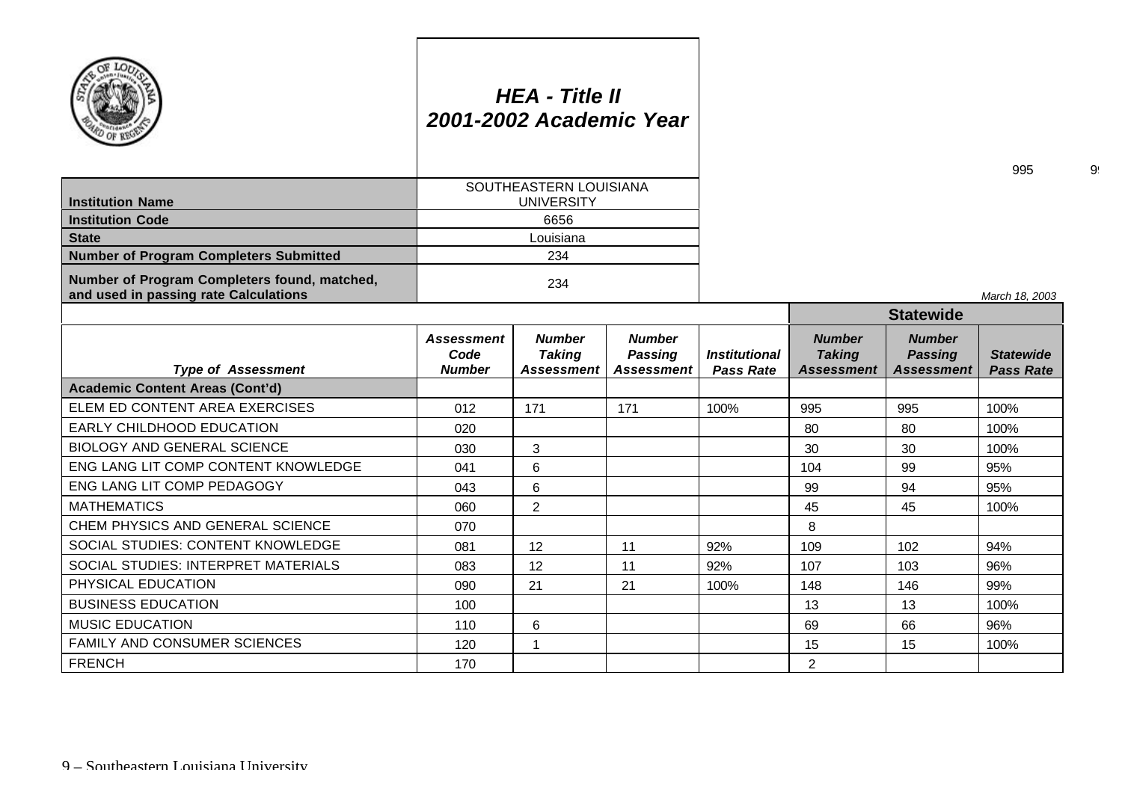|                                                                                       |                                            | <b>HEA - Title II</b><br>2001-2002 Academic Year |                                                      |                                                 |                                              |                                                      | 995                                  |
|---------------------------------------------------------------------------------------|--------------------------------------------|--------------------------------------------------|------------------------------------------------------|-------------------------------------------------|----------------------------------------------|------------------------------------------------------|--------------------------------------|
| <b>Institution Name</b>                                                               |                                            | SOUTHEASTERN LOUISIANA<br><b>UNIVERSITY</b>      |                                                      |                                                 |                                              |                                                      |                                      |
| <b>Institution Code</b>                                                               |                                            | 6656                                             |                                                      |                                                 |                                              |                                                      |                                      |
| <b>State</b>                                                                          |                                            | Louisiana                                        |                                                      |                                                 |                                              |                                                      |                                      |
| <b>Number of Program Completers Submitted</b>                                         |                                            | 234                                              |                                                      |                                                 |                                              |                                                      |                                      |
| Number of Program Completers found, matched,<br>and used in passing rate Calculations |                                            | 234                                              |                                                      |                                                 |                                              |                                                      | March 18, 2003                       |
|                                                                                       |                                            |                                                  |                                                      |                                                 | <b>Statewide</b>                             |                                                      |                                      |
| <b>Type of Assessment</b>                                                             | <b>Assessment</b><br>Code<br><b>Number</b> | <b>Number</b><br><b>Taking</b><br>Assessment     | <b>Number</b><br><b>Passing</b><br><b>Assessment</b> | <i><b>Institutional</b></i><br><b>Pass Rate</b> | <b>Number</b><br><b>Taking</b><br>Assessment | <b>Number</b><br><b>Passing</b><br><b>Assessment</b> | <b>Statewide</b><br><b>Pass Rate</b> |
| <b>Academic Content Areas (Cont'd)</b>                                                |                                            |                                                  |                                                      |                                                 |                                              |                                                      |                                      |
| ELEM ED CONTENT AREA EXERCISES                                                        | 012                                        | 171                                              | 171                                                  | 100%                                            | 995                                          | 995                                                  | 100%                                 |
| EARLY CHILDHOOD EDUCATION                                                             | 020                                        |                                                  |                                                      |                                                 | 80                                           | 80                                                   | 100%                                 |
| <b>BIOLOGY AND GENERAL SCIENCE</b>                                                    | 030                                        | 3                                                |                                                      |                                                 | 30                                           | 30                                                   | 100%                                 |
| ENG LANG LIT COMP CONTENT KNOWLEDGE                                                   | 041                                        | 6                                                |                                                      |                                                 | 104                                          | 99                                                   | 95%                                  |
| ENG LANG LIT COMP PEDAGOGY                                                            | 043                                        | 6                                                |                                                      |                                                 | 99                                           | 94                                                   | 95%                                  |
| <b>MATHEMATICS</b>                                                                    | 060                                        | $\overline{2}$                                   |                                                      |                                                 | 45                                           | 45                                                   | 100%                                 |
| CHEM PHYSICS AND GENERAL SCIENCE                                                      | 070                                        |                                                  |                                                      |                                                 | 8                                            |                                                      |                                      |
| SOCIAL STUDIES: CONTENT KNOWLEDGE                                                     | 081                                        | 12                                               | 11                                                   | 92%                                             | 109                                          | 102                                                  | 94%                                  |
| SOCIAL STUDIES: INTERPRET MATERIALS                                                   | 083                                        | 12                                               | 11                                                   | 92%                                             | 107                                          | 103                                                  | 96%                                  |
| PHYSICAL EDUCATION                                                                    | 090                                        | 21                                               | 21                                                   | 100%                                            | 148                                          | 146                                                  | 99%                                  |
| <b>BUSINESS EDUCATION</b>                                                             | 100                                        |                                                  |                                                      |                                                 | 13                                           | 13                                                   | 100%                                 |
| <b>MUSIC EDUCATION</b>                                                                | 110                                        | 6                                                |                                                      |                                                 | 69                                           | 66                                                   | 96%                                  |
| FAMILY AND CONSUMER SCIENCES                                                          | 120                                        | 1                                                |                                                      |                                                 | 15                                           | 15                                                   | 100%                                 |
| <b>FRENCH</b>                                                                         | 170                                        |                                                  |                                                      |                                                 | $\overline{2}$                               |                                                      |                                      |

9!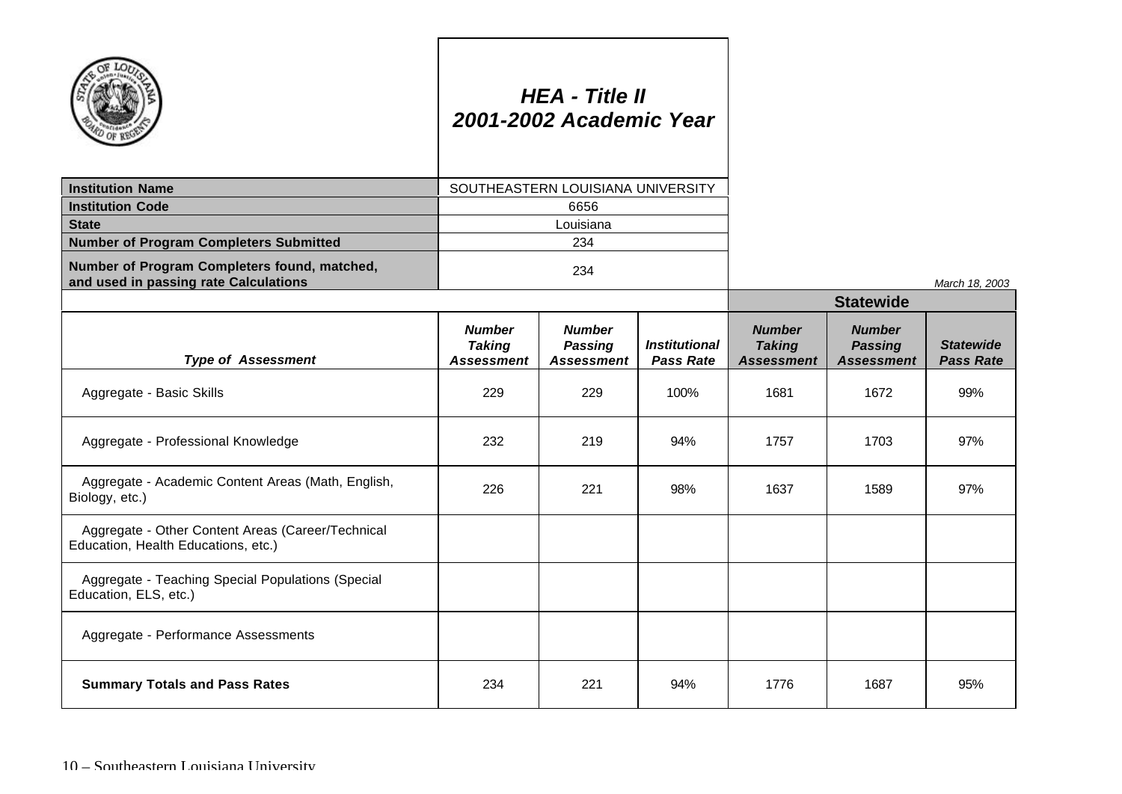|                                                                                          |                                                     | <b>HEA - Title II</b><br>2001-2002 Academic Year     |                                                 |                                                     |                                                      |                                      |
|------------------------------------------------------------------------------------------|-----------------------------------------------------|------------------------------------------------------|-------------------------------------------------|-----------------------------------------------------|------------------------------------------------------|--------------------------------------|
| <b>Institution Name</b>                                                                  |                                                     | SOUTHEASTERN LOUISIANA UNIVERSITY                    |                                                 |                                                     |                                                      |                                      |
| <b>Institution Code</b>                                                                  |                                                     | 6656                                                 |                                                 |                                                     |                                                      |                                      |
| <b>State</b>                                                                             |                                                     | Louisiana                                            |                                                 |                                                     |                                                      |                                      |
| <b>Number of Program Completers Submitted</b>                                            |                                                     | 234                                                  |                                                 |                                                     |                                                      |                                      |
| Number of Program Completers found, matched,<br>and used in passing rate Calculations    |                                                     | 234                                                  |                                                 |                                                     |                                                      | March 18, 2003                       |
|                                                                                          |                                                     |                                                      |                                                 |                                                     | <b>Statewide</b>                                     |                                      |
| <b>Type of Assessment</b>                                                                | <b>Number</b><br><b>Taking</b><br><b>Assessment</b> | <b>Number</b><br><b>Passing</b><br><b>Assessment</b> | <i><b>Institutional</b></i><br><b>Pass Rate</b> | <b>Number</b><br><b>Taking</b><br><b>Assessment</b> | <b>Number</b><br><b>Passing</b><br><b>Assessment</b> | <b>Statewide</b><br><b>Pass Rate</b> |
| Aggregate - Basic Skills                                                                 | 229                                                 | 229                                                  | 100%                                            | 1681                                                | 1672                                                 | 99%                                  |
| Aggregate - Professional Knowledge                                                       | 232                                                 | 219                                                  | 94%                                             | 1757                                                | 1703                                                 | 97%                                  |
| Aggregate - Academic Content Areas (Math, English,<br>Biology, etc.)                     | 226                                                 | 221                                                  | 98%                                             | 1637                                                | 1589                                                 | 97%                                  |
| Aggregate - Other Content Areas (Career/Technical<br>Education, Health Educations, etc.) |                                                     |                                                      |                                                 |                                                     |                                                      |                                      |
| Aggregate - Teaching Special Populations (Special<br>Education, ELS, etc.)               |                                                     |                                                      |                                                 |                                                     |                                                      |                                      |
| Aggregate - Performance Assessments                                                      |                                                     |                                                      |                                                 |                                                     |                                                      |                                      |
| <b>Summary Totals and Pass Rates</b>                                                     | 234                                                 | 221                                                  | 94%                                             | 1776                                                | 1687                                                 | 95%                                  |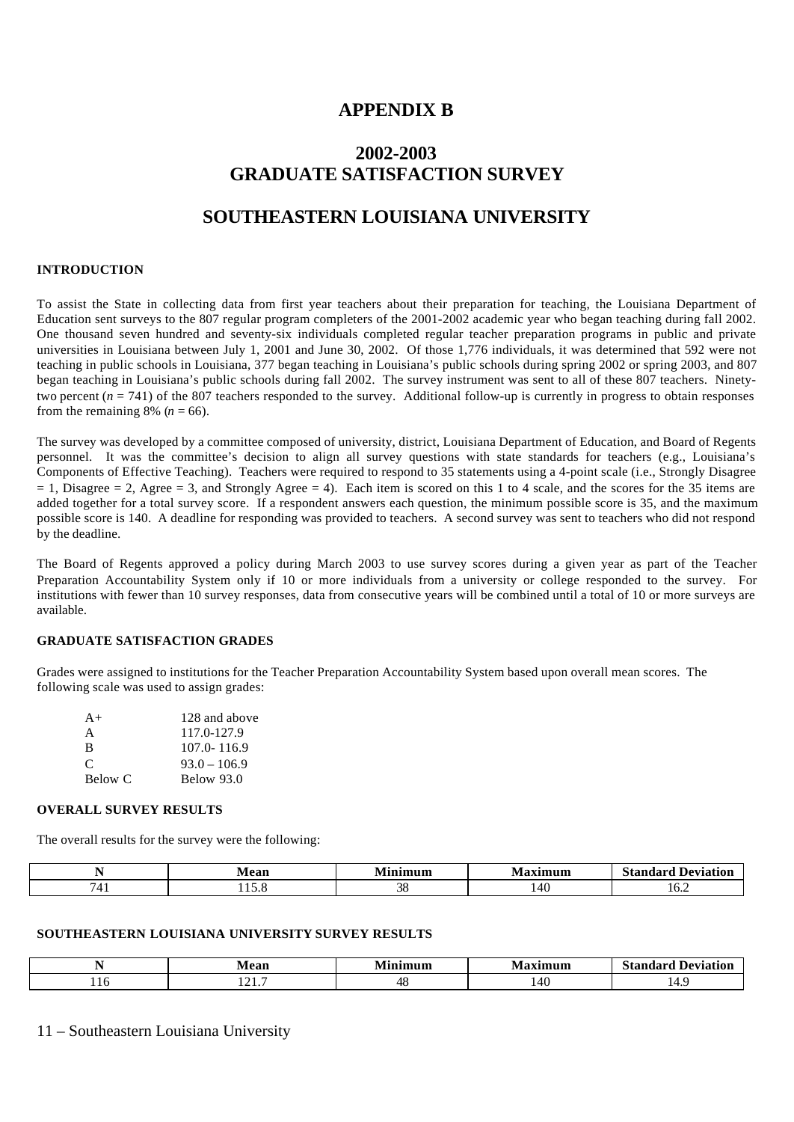## **APPENDIX B**

# **2002-2003 GRADUATE SATISFACTION SURVEY**

## **SOUTHEASTERN LOUISIANA UNIVERSITY**

### **INTRODUCTION**

To assist the State in collecting data from first year teachers about their preparation for teaching, the Louisiana Department of Education sent surveys to the 807 regular program completers of the 2001-2002 academic year who began teaching during fall 2002. One thousand seven hundred and seventy-six individuals completed regular teacher preparation programs in public and private universities in Louisiana between July 1, 2001 and June 30, 2002. Of those 1,776 individuals, it was determined that 592 were not teaching in public schools in Louisiana, 377 began teaching in Louisiana's public schools during spring 2002 or spring 2003, and 807 began teaching in Louisiana's public schools during fall 2002. The survey instrument was sent to all of these 807 teachers. Ninetytwo percent  $(n = 741)$  of the 807 teachers responded to the survey. Additional follow-up is currently in progress to obtain responses from the remaining 8% ( $n = 66$ ).

The survey was developed by a committee composed of university, district, Louisiana Department of Education, and Board of Regents personnel. It was the committee's decision to align all survey questions with state standards for teachers (e.g., Louisiana's Components of Effective Teaching). Teachers were required to respond to 35 statements using a 4-point scale (i.e., Strongly Disagree  $= 1$ , Disagree  $= 2$ , Agree  $= 3$ , and Strongly Agree  $= 4$ ). Each item is scored on this 1 to 4 scale, and the scores for the 35 items are added together for a total survey score. If a respondent answers each question, the minimum possible score is 35, and the maximum possible score is 140. A deadline for responding was provided to teachers. A second survey was sent to teachers who did not respond by the deadline.

The Board of Regents approved a policy during March 2003 to use survey scores during a given year as part of the Teacher Preparation Accountability System only if 10 or more individuals from a university or college responded to the survey. For institutions with fewer than 10 survey responses, data from consecutive years will be combined until a total of 10 or more surveys are available.

### **GRADUATE SATISFACTION GRADES**

Grades were assigned to institutions for the Teacher Preparation Accountability System based upon overall mean scores. The following scale was used to assign grades:

| $A+$    | 128 and above   |
|---------|-----------------|
| A       | 117.0-127.9     |
| B       | $107.0 - 116.9$ |
| C       | $93.0 - 106.9$  |
| Below C | Below 93.0      |

### **OVERALL SURVEY RESULTS**

The overall results for the survey were the following:

|     | 84 oo¥<br>≂aı. | -<br>ımum | axımum | Standard<br>Deviation |
|-----|----------------|-----------|--------|-----------------------|
| . . | .              | n,<br>υc  | 14u    | 10.Z                  |

### **SOUTHEASTERN LOUISIANA UNIVERSITY SURVEY RESULTS**

| $\mathbf{a}$ $\mathbf{a}$<br>чеан | $\mathbf{r}$<br>ասա | ------- | $\sim$<br>Deviation<br>Standard<br>эіані |
|-----------------------------------|---------------------|---------|------------------------------------------|
| $\sim$<br>.                       |                     | ٬4۱.    | .                                        |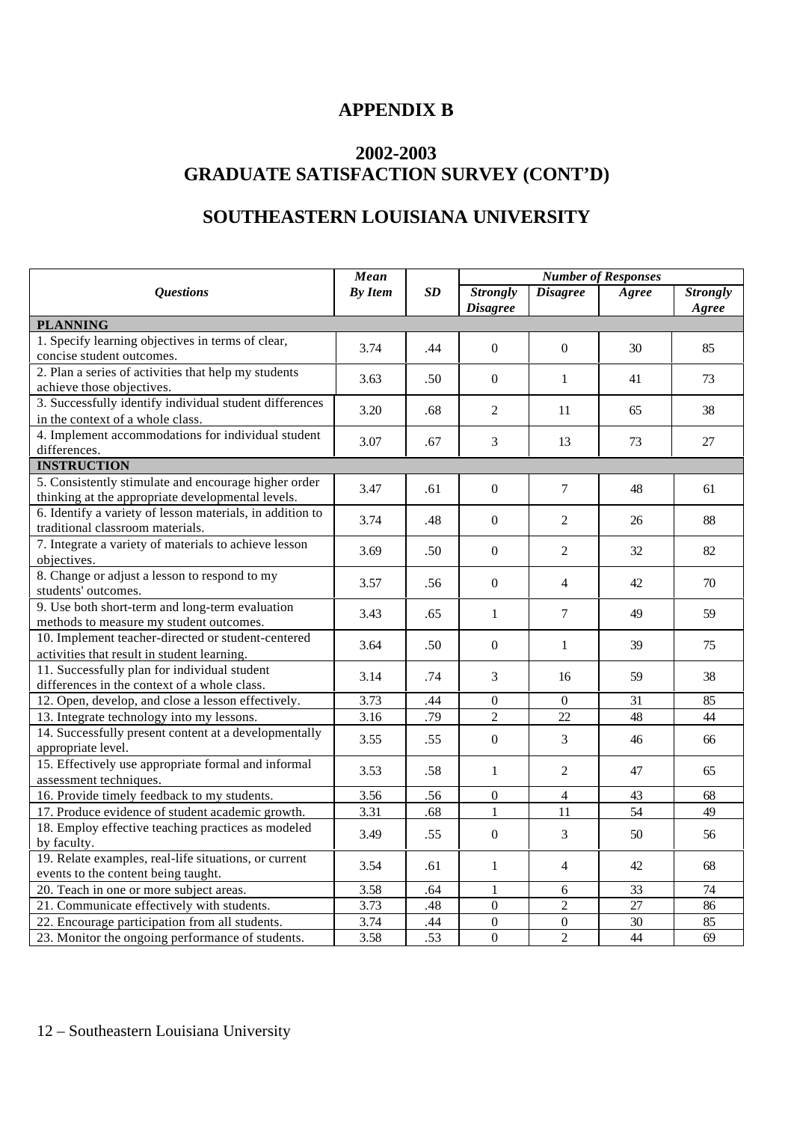# **APPENDIX B**

# **2002-2003 GRADUATE SATISFACTION SURVEY (CONT'D)**

# **SOUTHEASTERN LOUISIANA UNIVERSITY**

|                                                                                                           | Mean<br><b>By Item</b> | SD  | <b>Number of Responses</b>         |                  |       |                          |
|-----------------------------------------------------------------------------------------------------------|------------------------|-----|------------------------------------|------------------|-------|--------------------------|
| <b>Questions</b>                                                                                          |                        |     | <b>Strongly</b><br><b>Disagree</b> | <b>Disagree</b>  | Agree | <b>Strongly</b><br>Agree |
| <b>PLANNING</b>                                                                                           |                        |     |                                    |                  |       |                          |
| 1. Specify learning objectives in terms of clear,<br>concise student outcomes.                            | 3.74                   | .44 | $\Omega$                           | $\Omega$         | 30    | 85                       |
| 2. Plan a series of activities that help my students<br>achieve those objectives.                         | 3.63                   | .50 | $\boldsymbol{0}$                   | $\mathbf{1}$     | 41    | 73                       |
| 3. Successfully identify individual student differences<br>in the context of a whole class.               | 3.20                   | .68 | 2                                  | 11               | 65    | 38                       |
| 4. Implement accommodations for individual student<br>differences.                                        | 3.07                   | .67 | $\overline{3}$                     | 13               | 73    | 27                       |
| <b>INSTRUCTION</b>                                                                                        |                        |     |                                    |                  |       |                          |
| 5. Consistently stimulate and encourage higher order<br>thinking at the appropriate developmental levels. | 3.47                   | .61 | $\boldsymbol{0}$                   | $\tau$           | 48    | 61                       |
| 6. Identify a variety of lesson materials, in addition to<br>traditional classroom materials.             | 3.74                   | .48 | $\Omega$                           | 2                | 26    | 88                       |
| 7. Integrate a variety of materials to achieve lesson<br>objectives.                                      | 3.69                   | .50 | $\boldsymbol{0}$                   | $\overline{2}$   | 32    | 82                       |
| 8. Change or adjust a lesson to respond to my<br>students' outcomes.                                      | 3.57                   | .56 | $\Omega$                           | $\overline{4}$   | 42    | 70                       |
| 9. Use both short-term and long-term evaluation<br>methods to measure my student outcomes.                | 3.43                   | .65 | $\mathbf{1}$                       | $\tau$           | 49    | 59                       |
| 10. Implement teacher-directed or student-centered<br>activities that result in student learning.         | 3.64                   | .50 | $\boldsymbol{0}$                   | $\mathbf{1}$     | 39    | 75                       |
| 11. Successfully plan for individual student<br>differences in the context of a whole class.              | 3.14                   | .74 | $\overline{3}$                     | 16               | 59    | 38                       |
| 12. Open, develop, and close a lesson effectively.                                                        | 3.73                   | .44 | $\mathbf{0}$                       | $\overline{0}$   | 31    | 85                       |
| 13. Integrate technology into my lessons.                                                                 | $\frac{1}{3.16}$       | .79 | $\overline{c}$                     | 22               | 48    | 44                       |
| 14. Successfully present content at a developmentally<br>appropriate level.                               | 3.55                   | .55 | $\boldsymbol{0}$                   | 3                | 46    | 66                       |
| 15. Effectively use appropriate formal and informal<br>assessment techniques.                             | 3.53                   | .58 | 1                                  | 2                | 47    | 65                       |
| 16. Provide timely feedback to my students.                                                               | 3.56                   | 56  | $\boldsymbol{0}$                   | $\overline{4}$   | 43    | 68                       |
| 17. Produce evidence of student academic growth.                                                          | 3.31                   | 68  | $\mathbf{1}$                       | 11               | 54    | 49                       |
| 18. Employ effective teaching practices as modeled<br>by faculty.                                         | 3.49                   | .55 | $\mathbf{0}$                       | 3                | 50    | 56                       |
| 19. Relate examples, real-life situations, or current<br>events to the content being taught.              | 3.54                   | .61 | $\mathbf{1}$                       | $\overline{4}$   | 42    | 68                       |
| 20. Teach in one or more subject areas.                                                                   | 3.58                   | .64 | $\mathbf{1}$                       | $\sqrt{6}$       | 33    | 74                       |
| 21. Communicate effectively with students.                                                                | 3.73                   | .48 | $\mathbf{0}$                       | $\overline{2}$   | 27    | 86                       |
| 22. Encourage participation from all students.                                                            | 3.74                   | .44 | $\boldsymbol{0}$                   | $\boldsymbol{0}$ | 30    | 85                       |
| 23. Monitor the ongoing performance of students.                                                          | 3.58                   | .53 | $\overline{0}$                     | $\overline{c}$   | 44    | 69                       |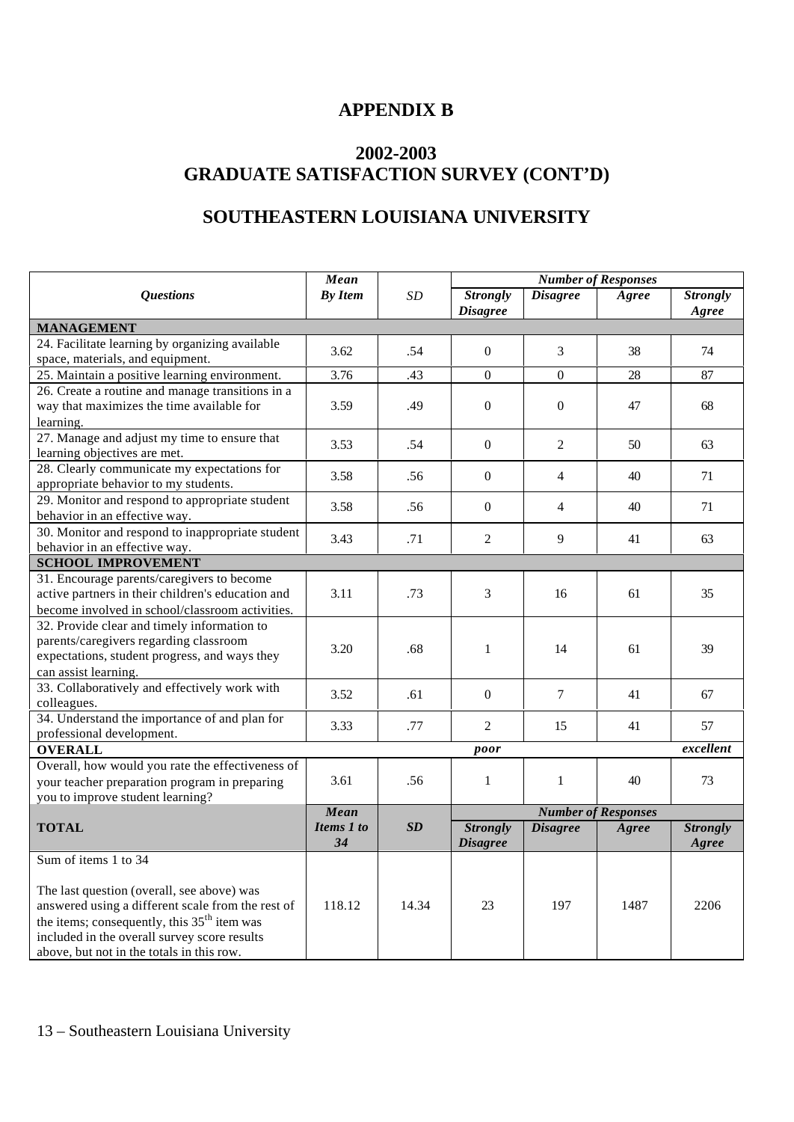# **APPENDIX B**

# **2002-2003 GRADUATE SATISFACTION SURVEY (CONT'D)**

# **SOUTHEASTERN LOUISIANA UNIVERSITY**

|                                                                                     | Mean                      |                            | <b>Number of Responses</b> |                  |              |                 |  |
|-------------------------------------------------------------------------------------|---------------------------|----------------------------|----------------------------|------------------|--------------|-----------------|--|
| <b>Questions</b>                                                                    | <b>By Item</b>            | <b>SD</b>                  | <b>Strongly</b>            | <b>Disagree</b>  | Agree        | <b>Strongly</b> |  |
|                                                                                     |                           |                            | <b>Disagree</b>            |                  |              | Agree           |  |
| <b>MANAGEMENT</b>                                                                   |                           |                            |                            |                  |              |                 |  |
| 24. Facilitate learning by organizing available<br>space, materials, and equipment. | 3.62                      | .54                        | $\mathbf{0}$               | 3                | 38           | 74              |  |
| 25. Maintain a positive learning environment.                                       | 3.76                      | .43                        | $\Omega$                   | $\Omega$         | 28           | 87              |  |
| 26. Create a routine and manage transitions in a                                    |                           |                            |                            |                  |              |                 |  |
| way that maximizes the time available for                                           | 3.59                      | .49                        | $\boldsymbol{0}$           | $\boldsymbol{0}$ | 47           | 68              |  |
| learning.                                                                           |                           |                            |                            |                  |              |                 |  |
| 27. Manage and adjust my time to ensure that                                        |                           |                            |                            |                  |              |                 |  |
| learning objectives are met.                                                        | 3.53                      | .54                        | $\mathbf{0}$               | $\overline{2}$   | 50           | 63              |  |
| 28. Clearly communicate my expectations for                                         |                           |                            |                            |                  |              |                 |  |
| appropriate behavior to my students.                                                | 3.58                      | .56                        | $\Omega$                   | $\overline{4}$   | 40           | 71              |  |
| 29. Monitor and respond to appropriate student                                      |                           |                            |                            |                  |              |                 |  |
| behavior in an effective way.                                                       | 3.58                      | .56                        | $\Omega$                   | 4                | 40           | 71              |  |
| 30. Monitor and respond to inappropriate student                                    |                           |                            |                            |                  |              |                 |  |
| behavior in an effective way.                                                       | 3.43                      | .71                        | $\overline{2}$             | 9                | 41           | 63              |  |
| <b>SCHOOL IMPROVEMENT</b>                                                           |                           |                            |                            |                  |              |                 |  |
| 31. Encourage parents/caregivers to become                                          |                           |                            |                            |                  |              |                 |  |
| active partners in their children's education and                                   | 3.11                      | .73                        | 3                          | 16               | 61           | 35              |  |
| become involved in school/classroom activities.                                     |                           |                            |                            |                  |              |                 |  |
| 32. Provide clear and timely information to                                         |                           |                            |                            |                  |              |                 |  |
| parents/caregivers regarding classroom                                              | 3.20                      | .68                        | $\mathbf{1}$               | 14               | 61           | 39              |  |
| expectations, student progress, and ways they                                       |                           |                            |                            |                  |              |                 |  |
| can assist learning.                                                                |                           |                            |                            |                  |              |                 |  |
| 33. Collaboratively and effectively work with                                       | 3.52                      | .61                        | $\theta$                   | $\tau$           | 41           | 67              |  |
| colleagues.                                                                         |                           |                            |                            |                  |              |                 |  |
| 34. Understand the importance of and plan for<br>professional development.          | 3.33                      | .77                        | $\overline{2}$             | 15               | 41           | 57              |  |
| <b>OVERALL</b>                                                                      |                           |                            |                            |                  | excellent    |                 |  |
| Overall, how would you rate the effectiveness of                                    |                           |                            | poor                       |                  |              |                 |  |
| your teacher preparation program in preparing                                       | 3.61                      | .56                        | $\mathbf{1}$               | $\mathbf{1}$     | 40           | 73              |  |
| you to improve student learning?                                                    |                           |                            |                            |                  |              |                 |  |
|                                                                                     |                           | <b>Number of Responses</b> |                            |                  |              |                 |  |
| <b>TOTAL</b>                                                                        | <b>Mean</b><br>Items 1 to | SD                         | <b>Strongly</b>            | <b>Disagree</b>  | <b>Agree</b> | <b>Strongly</b> |  |
|                                                                                     | 34                        |                            | <b>Disagree</b>            |                  |              | Agree           |  |
| Sum of items 1 to 34                                                                |                           |                            |                            |                  |              |                 |  |
|                                                                                     |                           |                            |                            |                  |              |                 |  |
| The last question (overall, see above) was                                          |                           |                            |                            |                  |              |                 |  |
| answered using a different scale from the rest of                                   | 118.12                    | 14.34                      | 23                         | 197              | 1487         | 2206            |  |
| the items; consequently, this 35 <sup>th</sup> item was                             |                           |                            |                            |                  |              |                 |  |
| included in the overall survey score results                                        |                           |                            |                            |                  |              |                 |  |
| above, but not in the totals in this row.                                           |                           |                            |                            |                  |              |                 |  |